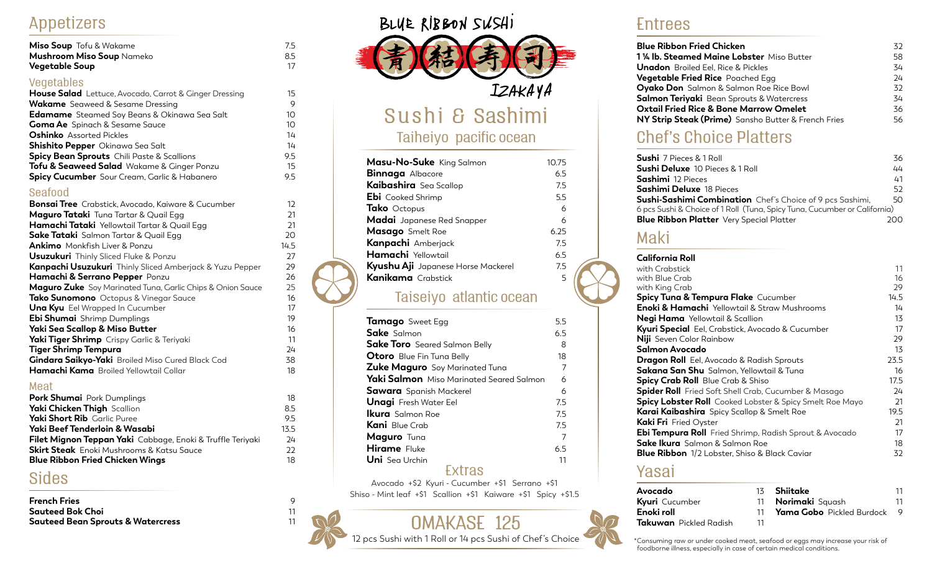### Appetizers

| Miso Soup Tofu & Wakame          | 7.5 |
|----------------------------------|-----|
| <b>Mushroom Miso Soup Nameko</b> | 8.5 |
| <b>Vegetable Soup</b>            |     |

#### Vegetables

| <b>House Salad</b> Lettuce, Avocado, Carrot & Ginger Dressing | 15  |
|---------------------------------------------------------------|-----|
| <b>Wakame</b> Seaweed & Sesame Dressing                       | 9   |
| <b>Edamame</b> Steamed Soy Beans & Okinawa Sea Salt           | 10  |
| <b>Goma Ae</b> Spinach & Sesame Sauce                         | 10  |
| <b>Oshinko</b> Assorted Pickles                               | 14  |
| <b>Shishito Pepper</b> Okinawa Sea Salt                       | 14  |
| <b>Spicy Bean Sprouts</b> Chili Paste & Scallions             | 9.5 |
| <b>Tofu &amp; Seaweed Salad</b> Wakame & Ginger Ponzu         | 15  |
| Spicy Cucumber Sour Cream, Garlic & Habanero                  | 9.5 |

#### Seafood

| <b>Bonsai Tree</b> Crabstick, Avocado, Kaiware & Cucumber  | 12   |
|------------------------------------------------------------|------|
| <b>Maguro Tataki</b> Tuna Tartar & Quail Egg               | 21   |
| <b>Hamachi Tataki</b> Yellowtail Tartar & Quail Egg        | 21   |
| <b>Sake Tataki</b> Salmon Tartar & Quail Egg               | 20   |
| <b>Ankimo</b> Monkfish Liver & Ponzu                       | 14.5 |
| <b>Usuzukuri</b> Thinly Sliced Fluke & Ponzu               | 27   |
| Kanpachi Usuzukuri Thinly Sliced Amberjack & Yuzu Pepper   | 29   |
| Hamachi & Serrano Pepper Ponzu                             | 26   |
| Maguro Zuke Soy Marinated Tuna, Garlic Chips & Onion Sauce | 25   |
| <b>Tako Sunomono</b> Octopus & Vinegar Sauce               | 16   |
| <b>Una Kyu</b> Eel Wrapped In Cucumber                     | 17   |
| Ebi Shumai Shrimp Dumplings                                | 19   |
| Yaki Sea Scallop & Miso Butter                             | 16   |
| Yaki Tiger Shrimp Crispy Garlic & Teriyaki                 | 11   |
| <b>Tiger Shrimp Tempura</b>                                | 24   |
| <b>Gindara Saikyo-Yaki</b> Broiled Miso Cured Black Cod    | 38   |
| Hamachi Kama Broiled Yellowtail Collar                     | 18   |
|                                                            |      |

#### Meat

| 18   |
|------|
| 8.5  |
| 9.5  |
| 13.5 |
| 24   |
| フフ   |
| 18   |
|      |

## Sides

| <b>French Fries</b>               |  |
|-----------------------------------|--|
| Sauteed Bok Choi                  |  |
| Sauteed Bean Sprouts & Watercress |  |

# BLUE RIBBON SUSHI



# Sushi & Sashimi

#### Taiheiyo pacific ocean

| Masu-No-Suke King Salmon           | 10.75 |
|------------------------------------|-------|
| <b>Binnaga</b> Albacore            | 6.5   |
| Kaibashira Sea Scallop             | 7.5   |
| <b>Ebi</b> Cooked Shrimp           | 5.5   |
| Tako Octopus                       | 6     |
| Madai Japanese Red Snapper         | 6     |
| Masago Smelt Roe                   | 6.25  |
| Kanpachi Amberjack                 | 75    |
| Hamachi Yellowtail                 | 6.5   |
| Kyushu Aji Japanese Horse Mackerel | 75    |
| <b>Kanikama</b> Crabstick          | 5     |
|                                    |       |

#### Taiseiyo atlantic ocean

| Tamago Sweet Egg                                | 5.5 |
|-------------------------------------------------|-----|
| <b>Sake</b> Salmon                              | 6.5 |
| <b>Sake Toro</b> Seared Salmon Belly            | 8   |
| <b>Otoro</b> Blue Fin Tuna Belly                | 18  |
| <b>Zuke Maguro</b> Soy Marinated Tuna           | 7   |
| <b>Yaki Salmon</b> Miso Marinated Seared Salmon | 6   |
| <b>Sawara</b> Spanish Mackerel                  | 6   |
| <b>Unagi</b> Fresh Water Eel                    | 7.5 |
| <b>Ikura</b> Salmon Roe                         | 7.5 |
| <b>Kani</b> Blue Crab                           | 7.5 |
| Maguro Tuna                                     | 7   |
| <b>Hirame</b> Fluke                             | 6.5 |
| <b>Uni</b> Sea Urchin                           | 11  |
| Extras                                          |     |

Avocado +\$2 Kyuri - Cucumber +\$1 Serrano +\$1 Shiso - Mint leaf +\$1 Scallion +\$1 Kaiware +\$1 Spicy +\$1.5



#### Entrees

| <b>Blue Ribbon Fried Chicken</b>                    | 32 |
|-----------------------------------------------------|----|
| <b>1 ¼ lb. Steamed Maine Lobster</b> Miso Butter    | 58 |
| <b>Unadon</b> Broiled Eel, Rice & Pickles           | 34 |
| <b>Vegetable Fried Rice</b> Poached Egg             | 24 |
| <b>Oyako Don</b> Salmon & Salmon Roe Rice Bowl      | 32 |
| <b>Salmon Teriyaki</b> Bean Sprouts & Watercress    | 34 |
| <b>Oxtail Fried Rice &amp; Bone Marrow Omelet</b>   | 36 |
| NY Strip Steak (Prime) Sansho Butter & French Fries | 56 |

# Chef's Choice Platters

| <b>Sushi</b> 7 Pieces & 1 Roll                                            | 36  |
|---------------------------------------------------------------------------|-----|
| <b>Sushi Deluxe</b> 10 Pieces & 1 Roll                                    | 44  |
| <b>Sashimi</b> 12 Pieces                                                  | 41  |
| <b>Sashimi Deluxe</b> 18 Pieces                                           | 52  |
| <b>Sushi-Sashimi Combination</b> Chef's Choice of 9 pcs Sashimi,          | 50  |
| 6 pcs Sushi & Choice of 1 Roll (Tuna, Spicy Tuna, Cucumber or California) |     |
| <b>Blue Ribbon Platter</b> Very Special Platter                           | חמכ |

# Maki

#### **California Roll**

| California Roll                                                 |      |
|-----------------------------------------------------------------|------|
| with Crabstick                                                  | 11   |
| with Blue Crab                                                  | 16   |
| with King Crab                                                  | 29   |
| <b>Spicy Tuna &amp; Tempura Flake</b> Cucumber                  | 14.5 |
| <b>Enoki &amp; Hamachi</b> Yellowtail & Straw Mushrooms         | 14   |
| Negi Hama Yellowtail & Scallion                                 | 13   |
| Kyuri Special Eel, Crabstick, Avocado & Cucumber                | 17   |
| <b>Niji</b> Seven Color Rainbow                                 | 29   |
| Salmon Avocado                                                  | 13   |
| <b>Dragon Roll</b> Eel, Avocado & Radish Sprouts                | 23.5 |
| <b>Sakana San Shu</b> Salmon, Yellowtail & Tuna                 | 16   |
| <b>Spicy Crab Roll</b> Blue Crab & Shiso                        | 17.5 |
| Spider Roll Fried Soft Shell Crab, Cucumber & Masago            | 24   |
| <b>Spicy Lobster Roll</b> Cooked Lobster & Spicy Smelt Roe Mayo | 21   |
| <b>Karai Kaibashira</b> Spicy Scallop & Smelt Roe               | 19.5 |
| <b>Kaki Fri</b> Fried Oyster                                    | 21   |
| <b>Ebi Tempura Roll</b> Fried Shrimp, Radish Sprout & Avocado   | 17   |
| <b>Sake Ikura</b> Salmon & Salmon Roe                           | 18   |
| <b>Blue Ribbon</b> 1/2 Lobster, Shiso & Black Caviar            | 32   |
|                                                                 |      |

#### Yasai

| Avocado                       |    | 13 <b>Shiitake</b>           | 11 |
|-------------------------------|----|------------------------------|----|
| <b>Kyuri</b> Cucumber         |    | 11 <b>Norimaki</b> Squash    | 11 |
| Enoki roll                    |    | 11 Yama Gobo Pickled Burdock |    |
| <b>Takuwan</b> Pickled Radish | 11 |                              |    |

\*Consuming raw or under cooked meat, seafood or eggs may increase your risk of foodborne illness, especially in case of certain medical conditions.